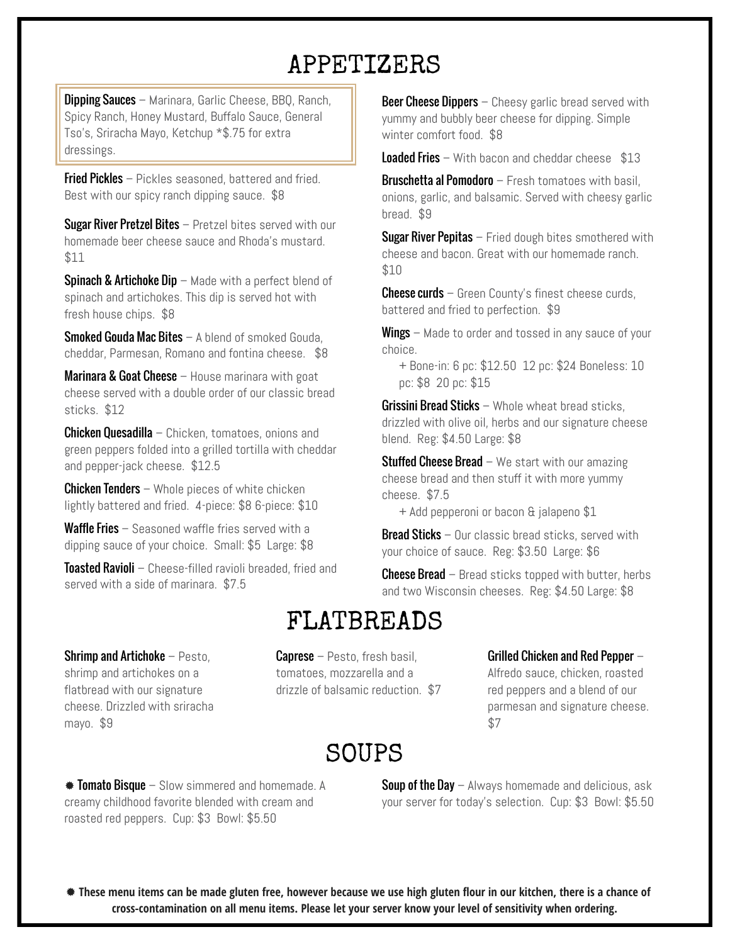# APPETIZERS

**Dipping Sauces** – Marinara, Garlic Cheese, BBQ, Ranch, Spicy Ranch, Honey Mustard, Buffalo Sauce, General Tso's, Sriracha Mayo, Ketchup \*\$.75 for extra dressings.

**Fried Pickles** – Pickles seasoned, battered and fried. Best with our spicy ranch dipping sauce. \$8

**Sugar River Pretzel Bites** – Pretzel bites served with our homemade beer cheese sauce and Rhoda's mustard. \$11

**Spinach & Artichoke Dip** – Made with a perfect blend of spinach and artichokes. This dip is served hot with fresh house chips. \$8

**Smoked Gouda Mac Bites – A blend of smoked Gouda** cheddar, Parmesan, Romano and fontina cheese. \$8

**Marinara & Goat Cheese**  $-$  House marinara with goat cheese served with a double order of our classic bread sticks. \$12

**Chicken Quesadilla** – Chicken, tomatoes, onions and green peppers folded into a grilled tortilla with cheddar and pepper-jack cheese. \$12.5

**Chicken Tenders** – Whole pieces of white chicken lightly battered and fried. 4-piece: \$8 6-piece: \$10

Waffle Fries – Seasoned waffle fries served with a

**Toasted Ravioli** – Cheese-filled ravioli breaded, fried and **Cheese** Bread – Bread sticks topped with butter, herbs  $\frac{1}{2}$  Cheese Bread – Bread sticks topped with butter, herbs served with a side of marinara. \$7.5

**Beer Cheese Dippers**  $-$  Cheesy garlic bread served with yummy and bubbly beer cheese for dipping. Simple winter comfort food. \$8

**Loaded Fries** – With bacon and cheddar cheese  $$13$ 

Bruschetta al Pomodoro - Fresh tomatoes with basil, onions, garlic, and balsamic. Served with cheesy garlic bread. \$9

**Sugar River Pepitas**  $-$  Fried dough bites smothered with cheese and bacon. Great with our homemade ranch. \$10

**Cheese curds** – Green County's finest cheese curds, battered and fried to perfection. \$9

**Wings** – Made to order and tossed in any sauce of your choice.

+ Bone-in: 6 pc: \$12.50 12 pc: \$24 Boneless: 10 pc: \$8 20 pc: \$15

**Grissini Bread Sticks** – Whole wheat bread sticks, drizzled with olive oil, herbs and our signature cheese blend. Reg: \$4.50 Large: \$8

**Stuffed Cheese Bread** – We start with our amazing cheese bread and then stuff it with more yummy cheese. \$7.5

+ Add pepperoni or bacon & jalapeno \$1

**Wallie Files** – Seasured wallie lifes served with a **Bread Sticks** – Our classic bread sticks, served with dipping sauce of your choice. Small: \$5 Large: \$8 your choice of sauce. Reg: \$3.50 Large: \$6

and two Wisconsin cheeses. Reg: \$4.50 Large: \$8

# FLATBREADS

# Shrimp and Artichoke – Pesto,

shrimp and artichokes on a flatbread with our signature cheese. Drizzled with sriracha mayo. \$9

**Caprese** – Pesto, fresh basil, tomatoes, mozzarella and a drizzle of balsamic reduction. \$7

### Grilled Chicken and Red Pepper –

Alfredo sauce, chicken, roasted red peppers and a blend of our parmesan and signature cheese. \$7

# SOUPS

 $*$  Tomato Bisque – Slow simmered and homemade. A creamy childhood favorite blended with cream and roasted red peppers. Cup: \$3 Bowl: \$5.50

**Soup of the Day** – Always homemade and delicious, ask your server for today's selection. Cup: \$3 Bowl: \$5.50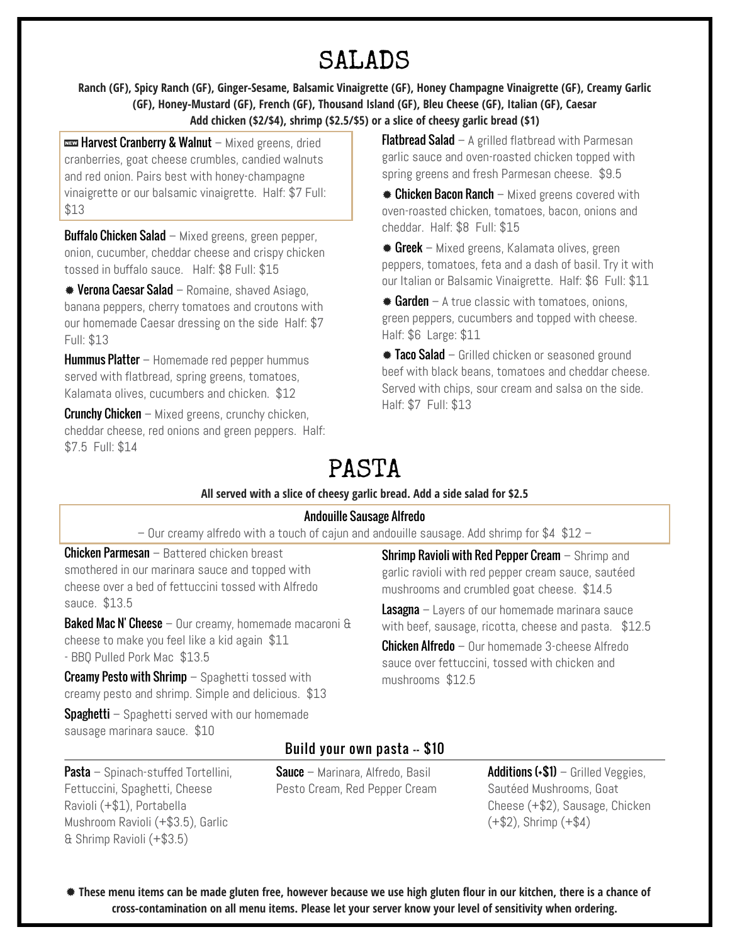# SALADS

**Ranch (GF), Spicy Ranch (GF), Ginger-Sesame, Balsamic Vinaigrette (GF), Honey Champagne Vinaigrette (GF), Creamy Garlic (GF), Honey-Mustard (GF), French (GF), Thousand Island (GF), Bleu Cheese (GF), Italian (GF), Caesar Add chicken (\$2/\$4), shrimp (\$2.5/\$5) or a slice of cheesy garlic bread (\$1)**

**was Harvest Cranberry & Walnut** – Mixed greens, dried cranberries, goat cheese crumbles, candied walnuts and red onion. Pairs best with honey-champagne vinaigrette or our balsamic vinaigrette. Half: \$7 Full: \$13

**Buffalo Chicken Salad** – Mixed greens, green pepper, onion, cucumber, cheddar cheese and crispy chicken tossed in buffalo sauce. Half: \$8 Full: \$15

**\*** Verona Caesar Salad – Romaine, shaved Asiago, banana peppers, cherry tomatoes and croutons with our homemade Caesar dressing on the side Half: \$7 Full: \$13

Hummus Platter – Homemade red pepper hummus served with flatbread, spring greens, tomatoes, Kalamata olives, cucumbers and chicken. \$12

**Crunchy Chicken** – Mixed greens, crunchy chicken, cheddar cheese, red onions and green peppers. Half: \$7.5 Full: \$14

**Flatbread Salad** – A grilled flatbread with Parmesan garlic sauce and oven-roasted chicken topped with spring greens and fresh Parmesan cheese. \$9.5

**Example 2.5 Chicken Bacon Ranch** – Mixed greens covered with oven-roasted chicken, tomatoes, bacon, onions and cheddar. Half: \$8 Full: \$15

 $*$  Greek – Mixed greens, Kalamata olives, green peppers, tomatoes, feta and a dash of basil. Try it with our Italian or Balsamic Vinaigrette. Half: \$6 Full: \$11

 $*$  Garden – A true classic with tomatoes, onions, green peppers, cucumbers and topped with cheese. Half: \$6 Large: \$11

Taco Salad – Grilled chicken or seasoned ground beef with black beans, tomatoes and cheddar cheese. Served with chips, sour cream and salsa on the side. Half: \$7 Full: \$13

# PASTA

### **All served with a slice of cheesy garlic bread. Add a side salad for \$2.5**

### Andouille Sausage Alfredo

– Our creamy alfredo with a touch of cajun and andouille sausage. Add shrimp for \$4 \$12 –

Chicken Parmesan – Battered chicken breast smothered in our marinara sauce and topped with cheese over a bed of fettuccini tossed with Alfredo sauce. \$13.5

**Baked Mac N' Cheese** – Our creamy, homemade macaroni  $\theta$ cheese to make you feel like a kid again \$11 - BBQ Pulled Pork Mac \$13.5

**Creamy Pesto with Shrimp**  $-$  Spaghetti tossed with creamy pesto and shrimp. Simple and delicious. \$13

**Spaghetti** – Spaghetti served with our homemade sausage marinara sauce. \$10

Fettuccini, Spaghetti, Cheese Ravioli (+\$1), Portabella

& Shrimp Ravioli (+\$3.5)

Mushroom Ravioli (+\$3.5), Garlic

**Shrimp Ravioli with Red Pepper Cream – Shrimp and** garlic ravioli with red pepper cream sauce, sautéed mushrooms and crumbled goat cheese. \$14.5

**Lasagna** – Layers of our homemade marinara sauce with beef, sausage, ricotta, cheese and pasta. \$12.5

**Chicken Alfredo** – Our homemade 3-cheese Alfredo sauce over fettuccini, tossed with chicken and mushrooms \$12.5

# Build your own pasta -- \$10

**Pasta** – Spinach-stuffed Tortellini, Sauce – Marinara, Alfredo, Basil Pesto Cream, Red Pepper Cream Additions  $(*\$1)$  – Grilled Veggies, Sautéed Mushrooms, Goat Cheese (+\$2), Sausage, Chicken  $(+\$2)$ , Shrimp  $(+\$4)$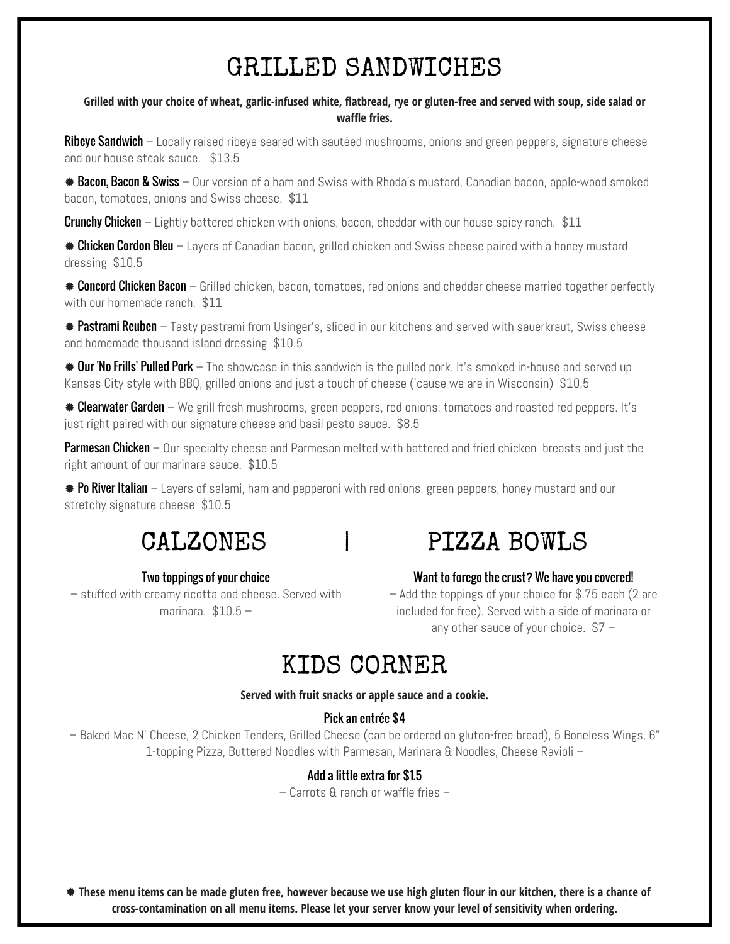# GRILLED SANDWICHES

#### **Grilled with your choice of wheat, garlic-infused white, flatbread, rye or gluten-free and served with soup, side salad or waffle fries.**

**Ribeye Sandwich** – Locally raised ribeye seared with sautéed mushrooms, onions and green peppers, signature cheese and our house steak sauce. \$13.5

**\* Bacon, Bacon & Swiss** – Our version of a ham and Swiss with Rhoda's mustard, Canadian bacon, apple-wood smoked bacon, tomatoes, onions and Swiss cheese. \$11

**Crunchy Chicken** – Lightly battered chicken with onions, bacon, cheddar with our house spicy ranch. \$11

**Ehicken Cordon Bleu** – Layers of Canadian bacon, grilled chicken and Swiss cheese paired with a honey mustard dressing \$10.5

 $*$  **Concord Chicken Bacon** – Grilled chicken, bacon, tomatoes, red onions and cheddar cheese married together perfectly with our homemade ranch. \$11

**\* Pastrami Reuben** – Tasty pastrami from Usinger's, sliced in our kitchens and served with sauerkraut, Swiss cheese and homemade thousand island dressing \$10.5

**# Our 'No Frills' Pulled Pork** – The showcase in this sandwich is the pulled pork. It's smoked in-house and served up Kansas City style with BBQ, grilled onions and just a touch of cheese ('cause we are in Wisconsin) \$10.5

**Elearwater Garden** – We grill fresh mushrooms, green peppers, red onions, tomatoes and roasted red peppers. It's just right paired with our signature cheese and basil pesto sauce. \$8.5

Parmesan Chicken – Our specialty cheese and Parmesan melted with battered and fried chicken breasts and just the right amount of our marinara sauce. \$10.5

 $\bullet$  Po River Italian – Layers of salami, ham and pepperoni with red onions, green peppers, honey mustard and our stretchy signature cheese \$10.5

# Two toppings of your choice

– stuffed with creamy ricotta and cheese. Served with marinara. \$10.5 –

# CALZONES | PIZZA BOWLS

#### Want to forego the crust? We have you covered!

– Add the toppings of your choice for \$.75 each (2 are included for free). Served with a side of marinara or any other sauce of your choice. \$7 –

# KIDS CORNER

#### **Served with fruit snacks or apple sauce and a cookie.**

### Pick an entrée \$4

– Baked Mac N' Cheese, 2 Chicken Tenders, Grilled Cheese (can be ordered on gluten-free bread), 5 Boneless Wings, 6" 1-topping Pizza, Buttered Noodles with Parmesan, Marinara & Noodles, Cheese Ravioli –

# Add a little extra for \$1.5

– Carrots & ranch or waffle fries –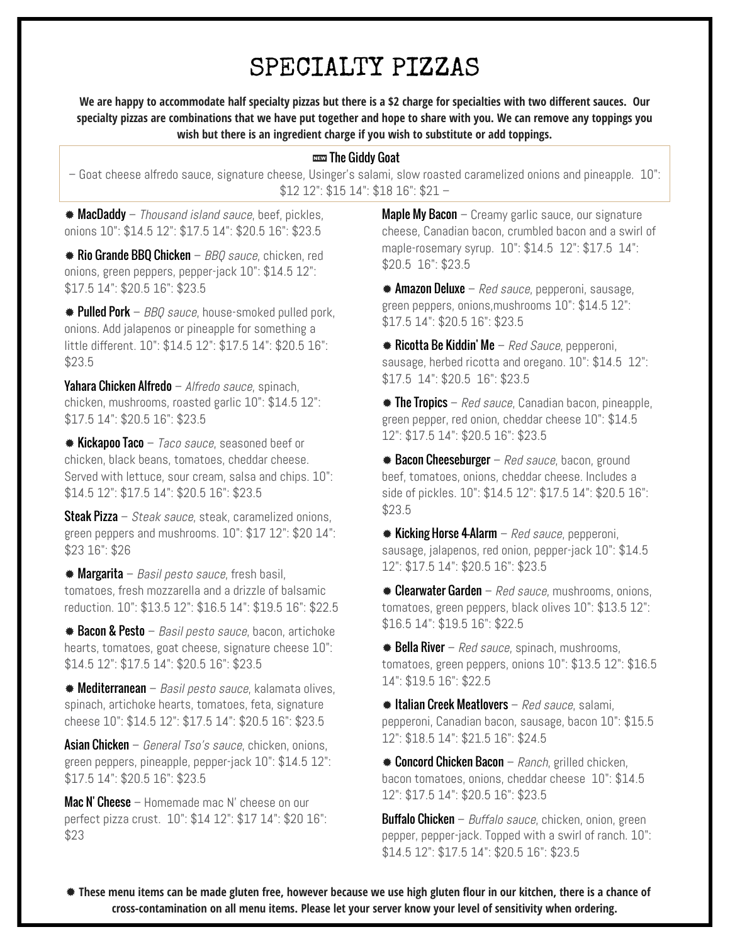# SPECIALTY PIZZAS

**We are happy to accommodate half specialty pizzas but there is a \$2 charge for specialties with two different sauces. Our specialty pizzas are combinations that we have put together and hope to share with you. We can remove any toppings you wish but there is an ingredient charge if you wish to substitute or add toppings.**

#### **NEW The Giddy Goat**

– Goat cheese alfredo sauce, signature cheese, Usinger's salami, slow roasted caramelized onions and pineapple. 10": \$12 12": \$15 14": \$18 16": \$21 –

**MacDaddy** – Thousand island sauce, beef, pickles, onions 10": \$14.5 12": \$17.5 14": \$20.5 16": \$23.5

**Rio Grande BBQ Chicken** – *BBQ sauce*, chicken, red  $$20.5$  16": \$23.5 onions, green peppers, pepper-jack 10": \$14.5 12":  $$17.5\,14"$ :  $$20.5\,16"$ :  $$23.5$  /  $$\ast$$  Amazon Deluxe – Red sauce, pepperoni, sausage,

**# Pulled Pork** – *BBQ sauce*, house-smoked pulled pork,  $$17.5\,14"$ : \$20.5 16": \$23.5 onions. Add jalapenos or pineapple for something a little different. 10": \$14.5 12": \$17.5 14": \$20.5 16": \$23.5

**Yahara Chicken Alfredo** – *Alfredo sauce*, spinach,  $$17.5$  14": \$20.5 16": \$23.5 chicken, mushrooms, roasted garlic 10": \$14.5 12": \$17.5 14": \$20.5 16": \$23.5

 $\bullet$  Kickapoo Taco – *Taco sauce*, seasoned beef or  $12"$ : \$17.5 14": \$20.5 16": \$23.5 chicken, black beans, tomatoes, cheddar cheese. Served with lettuce, sour cream, salsa and chips. 10": \$14.5 12": \$17.5 14": \$20.5 16": \$23.5

**Steak Pizza** – *Steak sauce*, steak, caramelized onions,  $$23.5$ green peppers and mushrooms. 10": \$17 12": \$20 14": \$23 16": \$26

 $\texttt{\#}$  Margarita – *Basil pesto sauce,* fresh basil,  $12"$ : \$17.5 14": \$20.5 16": \$23.5 tomatoes, fresh mozzarella and a drizzle of balsamic reduction. 10": \$13.5 12": \$16.5 14": \$19.5 16": \$22.5

 $\texttt{*}$  **Bacon & Pesto** – *Basil pesto sauce*, bacon, artichoke  $\texttt{\$16.5}\text{ 14": } \texttt{\$19.5}\text{ 16": } \texttt{\$22.5}$ hearts, tomatoes, goat cheese, signature cheese 10": \$14.5 12": \$17.5 14": \$20.5 16": \$23.5

**Mediterranean** – *Basil pesto sauce*, kalamata olives,  $14$ ": \$19.5 16": \$22.5 spinach, artichoke hearts, tomatoes, feta, signature cheese 10": \$14.5 12": \$17.5 14": \$20.5 16": \$23.5

Asian Chicken – General Tso's sauce, chicken, onions,  $12$ ": \$18.5 14": \$21.5 16": \$24.5 green peppers, pineapple, pepper-jack 10": \$14.5 12": \$17.5 14": \$20.5 16": \$23.5

**Mac N' Cheese** – Homemade mac N' cheese on our  $12$ ": \$17.5 14": \$20.5 16": \$23.5 perfect pizza crust. 10": \$14 12": \$17 14": \$20 16": \$23

**Maple My Bacon**  $-$  Creamy garlic sauce, our signature cheese, Canadian bacon, crumbled bacon and a swirl of maple-rosemary syrup. 10": \$14.5 12": \$17.5 14":

green peppers, onions,mushrooms 10": \$14.5 12":

**\* Ricotta Be Kiddin' Me**  $-$  *Red Sauce*, pepperoni, sausage, herbed ricotta and oregano. 10": \$14.5 12":

**The Tropics** – Red sauce, Canadian bacon, pineapple, green pepper, red onion, cheddar cheese 10": \$14.5

**\*** Bacon Cheeseburger – Red sauce, bacon, ground beef, tomatoes, onions, cheddar cheese. Includes a side of pickles. 10": \$14.5 12": \$17.5 14": \$20.5 16":

**Kicking Horse 4-Alarm** – Red sauce, pepperoni, sausage, jalapenos, red onion, pepper-jack 10": \$14.5

 $\bullet$  Clearwater Garden – Red sauce, mushrooms, onions, tomatoes, green peppers, black olives 10": \$13.5 12":

 $\bullet$  Bella River – Red sauce, spinach, mushrooms, tomatoes, green peppers, onions 10": \$13.5 12": \$16.5

**\* Italian Creek Meatlovers**  $-$  *Red sauce*, salami, pepperoni, Canadian bacon, sausage, bacon 10": \$15.5

**Example 2.5 Concord Chicken Bacon** – Ranch, grilled chicken, bacon tomatoes, onions, cheddar cheese 10": \$14.5

**Buffalo Chicken** – *Buffalo sauce*, chicken, onion, green pepper, pepper-jack. Topped with a swirl of ranch. 10": \$14.5 12": \$17.5 14": \$20.5 16": \$23.5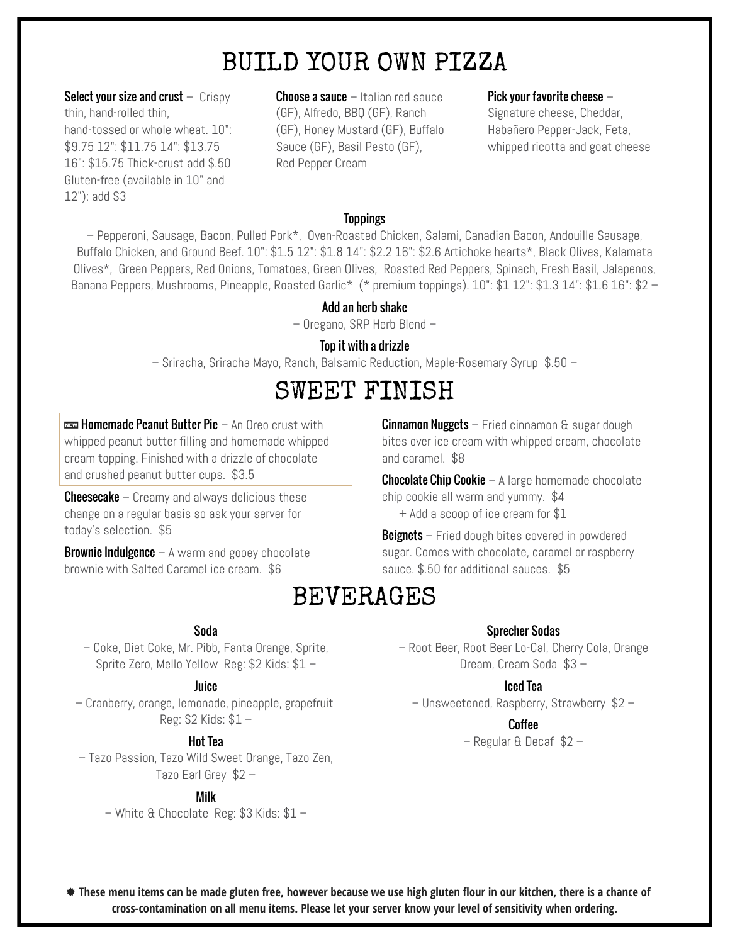# BUILD YOUR OWN PIZZA

**Select your size and crust**  $-$  Crispy thin, hand-rolled thin, hand-tossed or whole wheat. 10": \$9.75 12": \$11.75 14": \$13.75 16": \$15.75 Thick-crust add \$.50 Gluten-free (available in 10" and 12"): add \$3

**Choose a sauce**  $-$  Italian red sauce (GF), Alfredo, BBQ (GF), Ranch (GF), Honey Mustard (GF), Buffalo Sauce (GF), Basil Pesto (GF), Red Pepper Cream

#### Pick your favorite cheese –

Signature cheese, Cheddar, Habañero Pepper-Jack, Feta, whipped ricotta and goat cheese

### **Toppings**

– Pepperoni, Sausage, Bacon, Pulled Pork\*, Oven-Roasted Chicken, Salami, Canadian Bacon, Andouille Sausage, Buffalo Chicken, and Ground Beef. 10": \$1.5 12": \$1.8 14": \$2.2 16": \$2.6 Artichoke hearts\*, Black Olives, Kalamata Olives\*, Green Peppers, Red Onions, Tomatoes, Green Olives, Roasted Red Peppers, Spinach, Fresh Basil, Jalapenos, Banana Peppers, Mushrooms, Pineapple, Roasted Garlic\* (\* premium toppings). 10": \$1 12": \$1.3 14": \$1.6 16": \$2 -

#### Add an herb shake

– Oregano, SRP Herb Blend –

#### Top it with a drizzle

– Sriracha, Sriracha Mayo, Ranch, Balsamic Reduction, Maple-Rosemary Syrup \$.50 –

# SWEET FINISH

**um Homemade Peanut Butter Pie** – An Oreo crust with whipped peanut butter filling and homemade whipped cream topping. Finished with a drizzle of chocolate and crushed peanut butter cups. \$3.5

**Cheesecake** – Creamy and always delicious these change on a regular basis so ask your server for today's selection. \$5

**Brownie Indulgence**  $-$  A warm and gooey chocolate brownie with Salted Caramel ice cream. \$6

**Cinnamon Nuggets**  $-$  Fried cinnamon  $\theta$  sugar dough bites over ice cream with whipped cream, chocolate and caramel. \$8

**Chocolate Chip Cookie**  $-$  A large homemade chocolate chip cookie all warm and yummy. \$4 + Add a scoop of ice cream for \$1

**Beignets** – Fried dough bites covered in powdered sugar. Comes with chocolate, caramel or raspberry sauce. \$.50 for additional sauces. \$5

# BEVERAGES

#### Sprecher Sodas

– Root Beer, Root Beer Lo-Cal, Cherry Cola, Orange Dream, Cream Soda \$3 –

#### Iced Tea

– Unsweetened, Raspberry, Strawberry \$2 –

#### **Coffee**

– Regular & Decaf \$2 –

### Soda

– Coke, Diet Coke, Mr. Pibb, Fanta Orange, Sprite, Sprite Zero, Mello Yellow Reg: \$2 Kids: \$1 –

#### Juice

– Cranberry, orange, lemonade, pineapple, grapefruit Reg: \$2 Kids: \$1 –

#### Hot Tea

– Tazo Passion, Tazo Wild Sweet Orange, Tazo Zen, Tazo Earl Grey \$2 –

### Milk

– White & Chocolate Reg: \$3 Kids: \$1 –